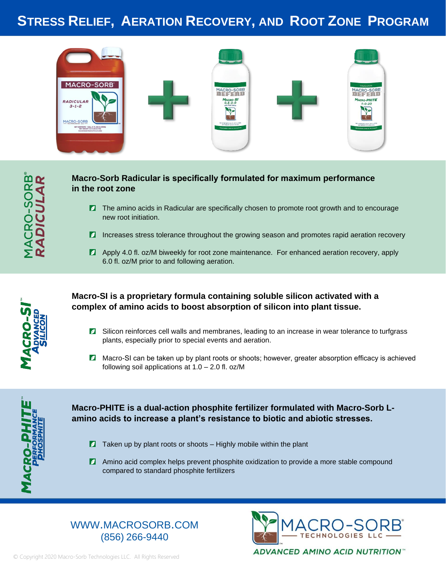## **STRESS RELIEF, AERATION RECOVERY, AND ROOT ZONE PROGRAM**



## **Macro-Sorb Radicular is specifically formulated for maximum performance in the root zone**

- **Z** The amino acids in Radicular are specifically chosen to promote root growth and to encourage new root initiation.
- **Increases stress tolerance throughout the growing season and promotes rapid aeration recovery**
- Apply 4.0 fl. oz/M biweekly for root zone maintenance. For enhanced aeration recovery, apply 6.0 fl. oz/M prior to and following aeration.



## **Macro-SI is a proprietary formula containing soluble silicon activated with a complex of amino acids to boost absorption of silicon into plant tissue.**

- **Z** Silicon reinforces cell walls and membranes, leading to an increase in wear tolerance to turfgrass plants, especially prior to special events and aeration.
- **Z** Macro-SI can be taken up by plant roots or shoots; however, greater absorption efficacy is achieved following soil applications at 1.0 – 2.0 fl. oz/M



## **Macro-PHITE is a dual-action phosphite fertilizer formulated with Macro-Sorb Lamino acids to increase a plant's resistance to biotic and abiotic stresses.**

- $\blacksquare$  Taken up by plant roots or shoots Highly mobile within the plant
- **Z** Amino acid complex helps prevent phosphite oxidization to provide a more stable compound compared to standard phosphite fertilizers

## WWW.MACROSORB.COM (856) 266-9440



© Copyright 2020 Macro-Sorb Technologies LLC. All Rights Reserved